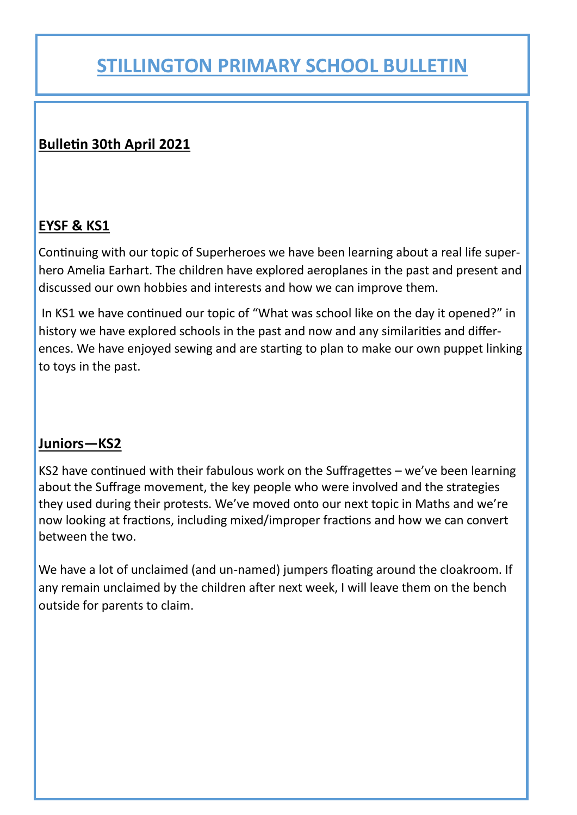## **Bulletin 30th April 2021**

## **EYSF & KS1**

Continuing with our topic of Superheroes we have been learning about a real life superhero Amelia Earhart. The children have explored aeroplanes in the past and present and discussed our own hobbies and interests and how we can improve them.

In KS1 we have continued our topic of "What was school like on the day it opened?" in history we have explored schools in the past and now and any similarities and differences. We have enjoyed sewing and are starting to plan to make our own puppet linking to toys in the past.

## **Juniors—KS2**

KS2 have continued with their fabulous work on the Suffragettes – we've been learning about the Suffrage movement, the key people who were involved and the strategies they used during their protests. We've moved onto our next topic in Maths and we're now looking at fractions, including mixed/improper fractions and how we can convert between the two.

We have a lot of unclaimed (and un-named) jumpers floating around the cloakroom. If any remain unclaimed by the children after next week, I will leave them on the bench outside for parents to claim.